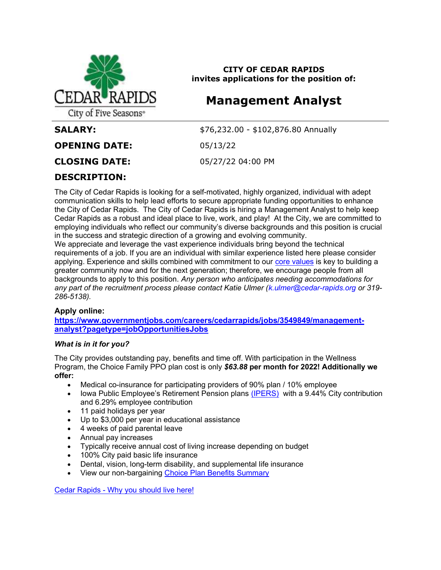

CITY OF CEDAR RAPIDS invites applications for the position of:

# Management Analyst

**SALARY:**  $$76,232.00 - $102,876.80$  Annually CLOSING DATE: 05/27/22 04:00 PM

## OPENING DATE: 05/13/22

# DESCRIPTION:

The City of Cedar Rapids is looking for a self-motivated, highly organized, individual with adept communication skills to help lead efforts to secure appropriate funding opportunities to enhance the City of Cedar Rapids. The City of Cedar Rapids is hiring a Management Analyst to help keep Cedar Rapids as a robust and ideal place to live, work, and play! At the City, we are committed to employing individuals who reflect our community's diverse backgrounds and this position is crucial in the success and strategic direction of a growing and evolving community.

We appreciate and leverage the vast experience individuals bring beyond the technical requirements of a job. If you are an individual with similar experience listed here please consider applying. Experience and skills combined with commitment to our core values is key to building a greater community now and for the next generation; therefore, we encourage people from all backgrounds to apply to this position. Any person who anticipates needing accommodations for any part of the recruitment process please contact Katie Ulmer (k.ulmer@cedar-rapids.org or 319- 286-5138).

## Apply online:

https://www.governmentjobs.com/careers/cedarrapids/jobs/3549849/managementanalyst?pagetype=jobOpportunitiesJobs

## What is in it for you?

The City provides outstanding pay, benefits and time off. With participation in the Wellness Program, the Choice Family PPO plan cost is only \$63.88 per month for 2022! Additionally we offer:

- Medical co-insurance for participating providers of 90% plan / 10% employee
- Iowa Public Employee's Retirement Pension plans (IPERS) with a 9.44% City contribution and 6.29% employee contribution
- 11 paid holidays per year
- Up to \$3,000 per year in educational assistance
- 4 weeks of paid parental leave
- Annual pay increases
- Typically receive annual cost of living increase depending on budget
- 100% City paid basic life insurance
- Dental, vision, long-term disability, and supplemental life insurance
- View our non-bargaining Choice Plan Benefits Summary

Cedar Rapids - Why you should live here!